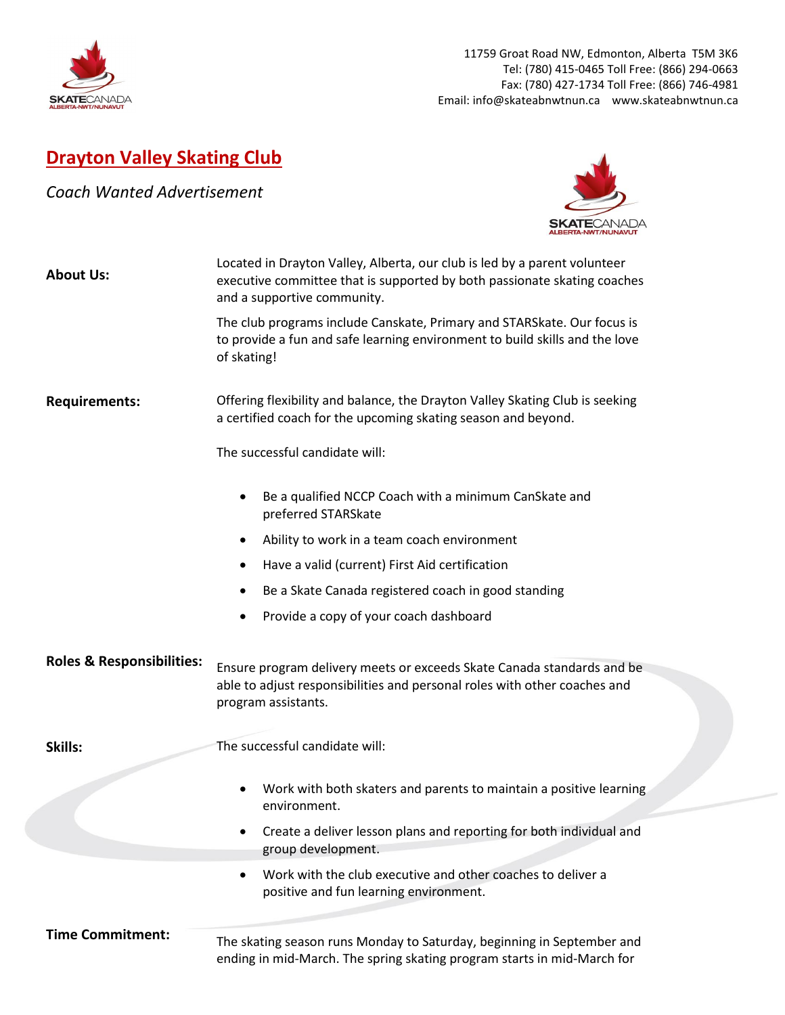

## **Drayton Valley Skating Club**

*Coach Wanted Advertisement*



| <b>About Us:</b><br><b>Requirements:</b> | Located in Drayton Valley, Alberta, our club is led by a parent volunteer<br>executive committee that is supported by both passionate skating coaches<br>and a supportive community.<br>The club programs include Canskate, Primary and STARSkate. Our focus is<br>to provide a fun and safe learning environment to build skills and the love<br>of skating!<br>Offering flexibility and balance, the Drayton Valley Skating Club is seeking<br>a certified coach for the upcoming skating season and beyond.<br>The successful candidate will: |  |
|------------------------------------------|--------------------------------------------------------------------------------------------------------------------------------------------------------------------------------------------------------------------------------------------------------------------------------------------------------------------------------------------------------------------------------------------------------------------------------------------------------------------------------------------------------------------------------------------------|--|
|                                          | Be a qualified NCCP Coach with a minimum CanSkate and<br>٠<br>preferred STARSkate<br>Ability to work in a team coach environment<br>Have a valid (current) First Aid certification<br>٠<br>Be a Skate Canada registered coach in good standing<br>٠<br>Provide a copy of your coach dashboard                                                                                                                                                                                                                                                    |  |
| <b>Roles &amp; Responsibilities:</b>     | Ensure program delivery meets or exceeds Skate Canada standards and be<br>able to adjust responsibilities and personal roles with other coaches and<br>program assistants.                                                                                                                                                                                                                                                                                                                                                                       |  |
| Skills:                                  | The successful candidate will:                                                                                                                                                                                                                                                                                                                                                                                                                                                                                                                   |  |
|                                          | Work with both skaters and parents to maintain a positive learning<br>environment.                                                                                                                                                                                                                                                                                                                                                                                                                                                               |  |
|                                          | Create a deliver lesson plans and reporting for both individual and<br>group development.                                                                                                                                                                                                                                                                                                                                                                                                                                                        |  |
|                                          | Work with the club executive and other coaches to deliver a<br>$\bullet$<br>positive and fun learning environment.                                                                                                                                                                                                                                                                                                                                                                                                                               |  |
| <b>Time Commitment:</b>                  | The skating season runs Monday to Saturday, beginning in September and                                                                                                                                                                                                                                                                                                                                                                                                                                                                           |  |

ending in mid-March. The spring skating program starts in mid-March for